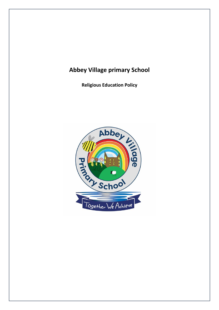# **Abbey Village primary School**

**Religious Education Policy**

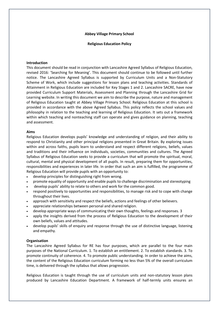### **Abbey Village Primary School**

**Religious Education Policy** 

# **Introduction**

This document should be read in conjunction with Lancashire Agreed Syllabus of Religious Education, revised 2016: 'Searching for Meaning'. This document should continue to be followed until further notice. The Lancashire Agreed Syllabus is supported by Curriculum Units and a Non-Statutory Scheme of Work, which include suggestions for lesson plans and teaching activities. Standards of Attainment in Religious Education are included for Key Stages 1 and 2. Lancashire SACRE, have now provided Curriculum Support Materials, Assessment and Planning through the Lancashire Grid for Learning website. In writing this document we aim to describe the purpose, nature and management of Religious Education taught at Abbey Village Primary School. Religious Education at this school is provided in accordance with the above Agreed Syllabus. This policy reflects the school values and philosophy in relation to the teaching and learning of Religious Education. It sets out a framework within which teaching and nonteaching staff can operate and gives guidance on planning, teaching and assessment.

#### **Aims**

Religious Education develops pupils' knowledge and understanding of religion, and their ability to respond to Christianity and other principal religions presented in Great Britain. By exploring issues within and across faiths, pupils learn to understand and respect different religions, beliefs, values and traditions and their influence on individuals, societies, communities and cultures. The Agreed Syllabus of Religious Education seeks to provide a curriculum that will promote the spiritual, moral, cultural, mental and physical development of all pupils. In result, preparing them for opportunities, responsibilities and experiences in later life. In order that such an aim is fulfilled, the programme of Religious Education will provide pupils with an opportunity to:

- develop principles for distinguishing right from wrong.
- promote equality of opportunity and enable pupils to challenge discrimination and stereotyping
- develop pupils' ability to relate to others and work for the common good.
- respond positively to opportunities and responsibilities, to manage risk and to cope with change throughout their lives.
- approach with sensitivity and respect the beliefs, actions and feelings of other believers.
- appreciate relationships between personal and shared religion.
- develop appropriate ways of communicating their own thoughts, feelings and responses. 3
- apply the insights derived from the process of Religious Education to the development of their own beliefs, values and attitudes.
- develop pupils' skills of enquiry and response through the use of distinctive language, listening and empathy.

### **Organisation**

The Lancashire Agreed Syllabus for RE has four purposes, which are parallel to the four main purposes of the National Curriculum. 1. To establish an entitlement. 2. To establish standards. 3. To promote continuity of coherence. 4. To promote public understanding. In order to achieve the aims, the content of the Religious Education curriculum forming no less than 5% of the overall curriculum time, is delivered through the syllabus that allows progression.

Religious Education is taught through the use of curriculum units and non-statutory lesson plans produced by Lancashire Education Department. A framework of half-termly units ensures an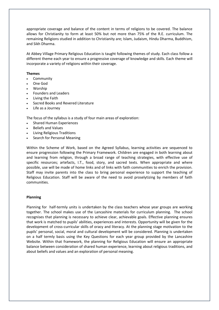appropriate coverage and balance of the content in terms of religions to be covered. The balance allows for Christianity to form at least 50% but not more than 75% of the R.E. curriculum. The remaining Religions studied in addition to Christianity are; Islam, Judaism, Hindu Dharma, Buddhism, and Sikh Dharma.

At Abbey Village Primary Religious Education is taught following themes of study. Each class follow a different theme each year to ensure a progressive coverage of knowledge and skills. Each theme will incorporate a variety of religions within their coverage.

# **Themes**

- **Community**
- One God
- Worship
- Founders and Leaders
- Living the Faith
- Sacred Books and Revered Literature
- Life as a Journey

The focus of the syllabus is a study of four main areas of exploration:

- Shared Human Experiences
- Beliefs and Values
- Living Religious Traditions
- Search for Personal Meaning

Within the Scheme of Work, based on the Agreed Syllabus, learning activities are sequenced to ensure progression following the Primary Framework. Children are engaged in both learning about and learning from religion, through a broad range of teaching strategies, with effective use of specific resources; artefacts, I.T., food, story, and sacred texts. When appropriate and where possible, use will be made of home links and of links with faith communities to enrich the provision. Staff may invite parents into the class to bring personal experience to support the teaching of Religious Education. Staff will be aware of the need to avoid proselytizing by members of faith communities.

### **Planning**

Planning for half-termly units is undertaken by the class teachers whose year groups are working together. The school makes use of the Lancashire materials for curriculum planning. The school recognises that planning is necessary to achieve clear, achievable goals. Effective planning ensures that work is matched to pupils' abilities, experiences and interests. Opportunity will be given for the development of cross-curricular skills of oracy and literacy. At the planning stage motivation to the pupils' personal, social, moral and cultural development will be considered. Planning is undertaken on a half termly basis using the Key Questions for each year group provided by the Lancashire Website. Within that framework, the planning for Religious Education will ensure an appropriate balance between consideration of shared human experience, learning about religious traditions, and about beliefs and values and an exploration of personal meaning.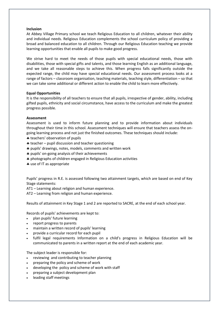# **Inclusion**

At Abbey Village Primary school we teach Religious Education to all children, whatever their ability and individual needs. Religious Education complements the school curriculum policy of providing a broad and balanced education to all children. Through our Religious Education teaching we provide learning opportunities that enable all pupils to make good progress.

We strive hard to meet the needs of those pupils with special educational needs, those with disabilities, those with special gifts and talents, and those learning English as an additional language, and we take all reasonable steps to achieve this. When progress falls significantly outside the expected range, the child may have special educational needs. Our assessment process looks at a range of factors – classroom organisation, teaching materials, teaching style, differentiation – so that we can take some additional or different action to enable the child to learn more effectively.

# **Equal Opportunities**

It is the responsibility of all teachers to ensure that all pupils, irrespective of gender, ability, including gifted pupils, ethnicity and social circumstance, have access to the curriculum and make the greatest progress possible.

# **Assessment**

Assessment is used to inform future planning and to provide information about individuals throughout their time in this school. Assessment techniques will ensure that teachers assess the ongoing learning process and not just the finished outcomes. These techniques should include:

- **\*** teachers' observation of pupils
- $*$  teacher pupil discussion and teacher questioning
- pupils' drawings, notes, models, comments and written work
- \* pupils' on-going analysis of their achievements
- photographs of children engaged in Religious Education activities
- use of IT as appropriate

Pupils' progress in R.E. is assessed following two attainment targets, which are based on end of Key Stage statements:

AT1 – Learning about religion and human experience.

AT2 – Learning from religion and human experience.

Results of attainment in Key Stage 1 and 2 are reported to SACRE, at the end of each school year.

Records of pupils' achievements are kept to:

- plan pupils' future learning
- report progress to parents
- maintain a written record of pupils' learning
- provide a curricular record for each pupil
- fulfil legal requirements Information on a child's progress in Religious Education will be communicated to parents in a written report at the end of each academic year.

The subject leader is responsible for:

- reviewing and contributing to teacher planning
- preparing the policy and scheme of work
- developing the policy and scheme of work with staff
- preparing a subject development plan
- leading staff meetings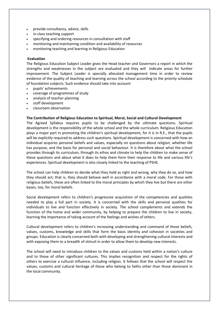- provide consultancy, advice, skills
- in-class teaching support
- specifying and ordering resources in consultation with staff
- monitoring and maintaining condition and availability of resources
- monitoring teaching and learning in Religious Education

### **Evaluation**

The Religious Education Subject Leader gives the Head teacher and Governors a report in which the strengths and weaknesses in the subject are evaluated and they will indicate areas for further improvement. The Subject Leader is specially allocated management time in order to review evidence of the quality of teaching and learning across the school according to the priority schedule of foundation subjects. Such evidence should take into account:

- pupils' achievements
- coverage of programmes of study
- analysis of teacher planning
- staff development
- classroom observation

### **The Contribution of Religious Education to Spiritual, Moral, Social and Cultural Development**

The Agreed Syllabus requires pupils to be challenged by the ultimate questions. Spiritual development is the responsibility of the whole school and the whole curriculum. Religious Education plays a major part in promoting the children's spiritual development, for it is in R.E., that the pupils will be explicitly required to address such questions. Spiritual development is concerned with how an individual acquires personal beliefs and values, especially on questions about religion, whether life has purpose, and the basis for personal and social behaviour. It is therefore about what the school provides through its curriculum, through its ethos and climate to help the children to make sense of these questions and about what it does to help them form their response to life and various life's experiences. Spiritual development is also closely linked to the teaching of PSHE.

The school can help children to decide what they hold as right and wrong, why they do so, and how they should act; that is, they should behave well in accordance with a moral code. For those with religious beliefs, these are often linked to the moral principles by which they live but there are other bases, too, for moral beliefs.

Social development refers to children's progressive acquisition of the competencies and qualities needed to play a full part in society. It is concerned with the skills and personal qualities for individuals to live and function effectively in society. The school complements and extends the function of the home and wider community, by helping to prepare the children to live in society, learning the importance of taking account of the feelings and wishes of others.

Cultural development refers to children's increasing understanding and command of those beliefs, values, customs, knowledge and skills that form the basis identity and cohesion in societies and groups. Education is clearly concerned both with developing and strengthening cultural interests and with exposing them to a breadth of stimuli in order to allow them to develop new interests.

The school will need to introduce children to the values and customs held within a nation's culture and to those of other significant cultures. This implies recognition and respect for the rights of others to exercise a cultural influence, including religion. It follows that the school will respect the values, customs and cultural heritage of those who belong to faiths other than those dominant in the local community.